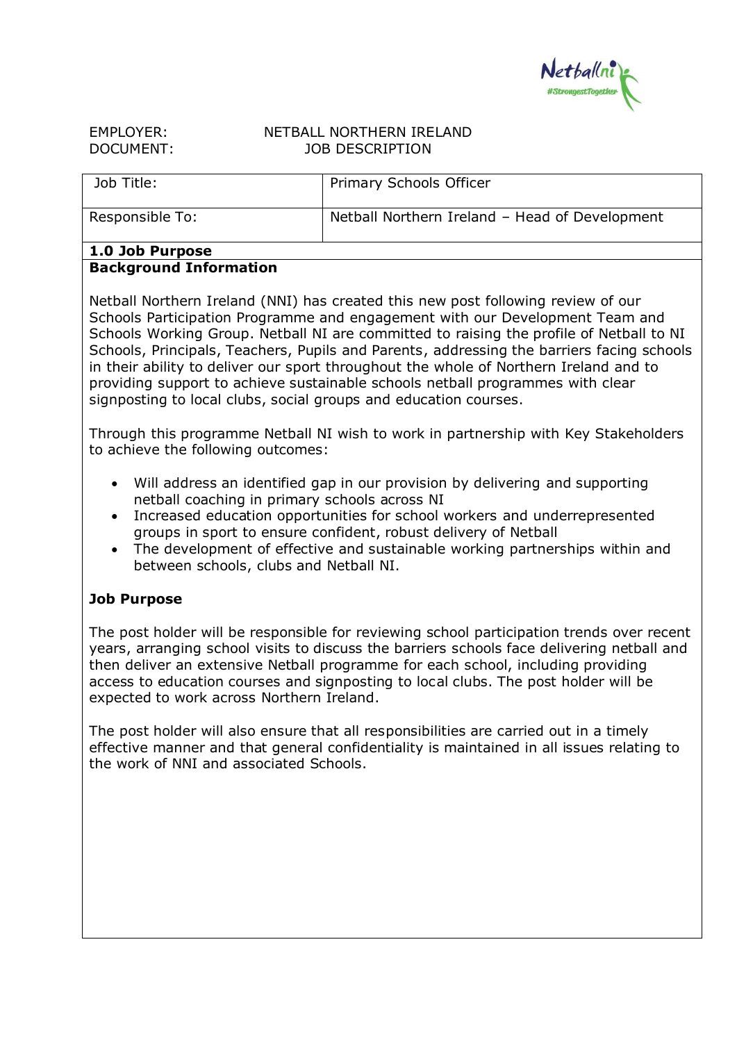

| EMPLOYER: |  |
|-----------|--|
| DOCUMENT: |  |

## NETBALL NORTHERN IRELAND JOB DESCRIPTION

| Job Title:      | Primary Schools Officer                        |
|-----------------|------------------------------------------------|
| Responsible To: | Netball Northern Ireland - Head of Development |

### **1.0 Job Purpose Background Information**

Netball Northern Ireland (NNI) has created this new post following review of our Schools Participation Programme and engagement with our Development Team and Schools Working Group. Netball NI are committed to raising the profile of Netball to NI Schools, Principals, Teachers, Pupils and Parents, addressing the barriers facing schools in their ability to deliver our sport throughout the whole of Northern Ireland and to providing support to achieve sustainable schools netball programmes with clear signposting to local clubs, social groups and education courses.

Through this programme Netball NI wish to work in partnership with Key Stakeholders to achieve the following outcomes:

- Will address an identified gap in our provision by delivering and supporting netball coaching in primary schools across NI
- Increased education opportunities for school workers and underrepresented groups in sport to ensure confident, robust delivery of Netball
- The development of effective and sustainable working partnerships within and between schools, clubs and Netball NI.

# **Job Purpose**

The post holder will be responsible for reviewing school participation trends over recent years, arranging school visits to discuss the barriers schools face delivering netball and then deliver an extensive Netball programme for each school, including providing access to education courses and signposting to local clubs. The post holder will be expected to work across Northern Ireland.

The post holder will also ensure that all responsibilities are carried out in a timely effective manner and that general confidentiality is maintained in all issues relating to the work of NNI and associated Schools.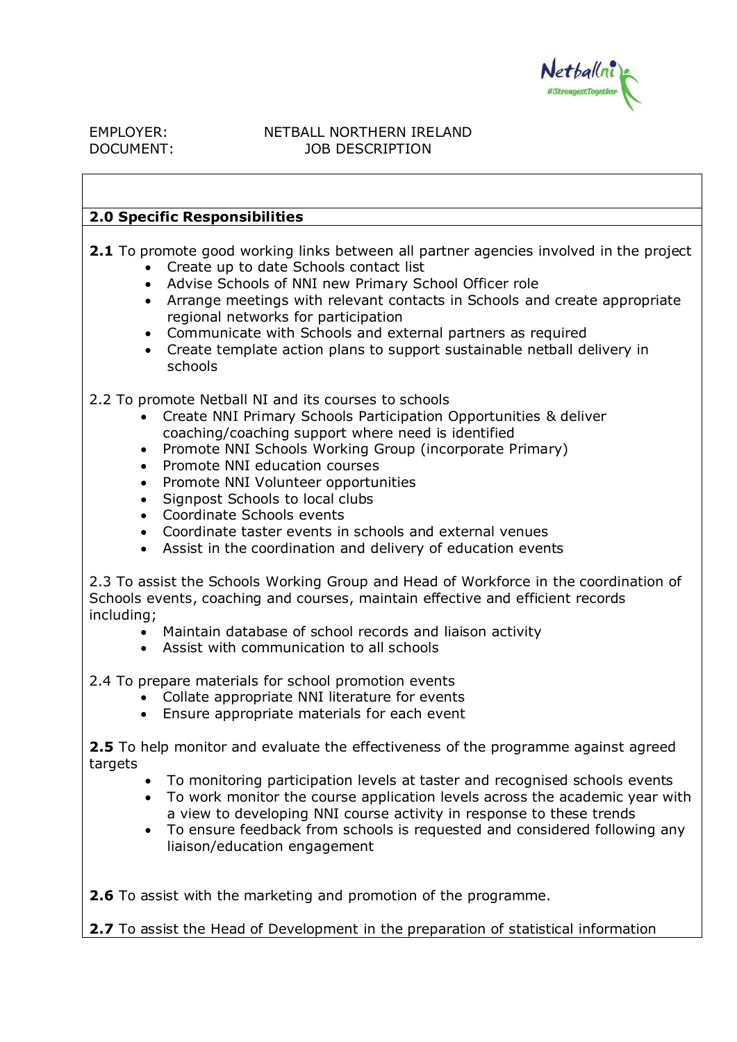

## EMPLOYER: NETBALL NORTHERN IRELAND DOCUMENT: JOB DESCRIPTION

## **2.0 Specific Responsibilities**

**2.1** To promote good working links between all partner agencies involved in the project

- Create up to date Schools contact list
- Advise Schools of NNI new Primary School Officer role
- Arrange meetings with relevant contacts in Schools and create appropriate regional networks for participation
- Communicate with Schools and external partners as required
- Create template action plans to support sustainable netball delivery in schools

2.2 To promote Netball NI and its courses to schools

- Create NNI Primary Schools Participation Opportunities & deliver coaching/coaching support where need is identified
- Promote NNI Schools Working Group (incorporate Primary)
- Promote NNI education courses
- Promote NNI Volunteer opportunities
- Signpost Schools to local clubs
- Coordinate Schools events
- Coordinate taster events in schools and external venues
- Assist in the coordination and delivery of education events

2.3 To assist the Schools Working Group and Head of Workforce in the coordination of Schools events, coaching and courses, maintain effective and efficient records including;

- Maintain database of school records and liaison activity
- Assist with communication to all schools

2.4 To prepare materials for school promotion events

- Collate appropriate NNI literature for events
- Ensure appropriate materials for each event

**2.5** To help monitor and evaluate the effectiveness of the programme against agreed targets

- To monitoring participation levels at taster and recognised schools events
- To work monitor the course application levels across the academic year with a view to developing NNI course activity in response to these trends
- To ensure feedback from schools is requested and considered following any liaison/education engagement

**2.6** To assist with the marketing and promotion of the programme.

**2.7** To assist the Head of Development in the preparation of statistical information